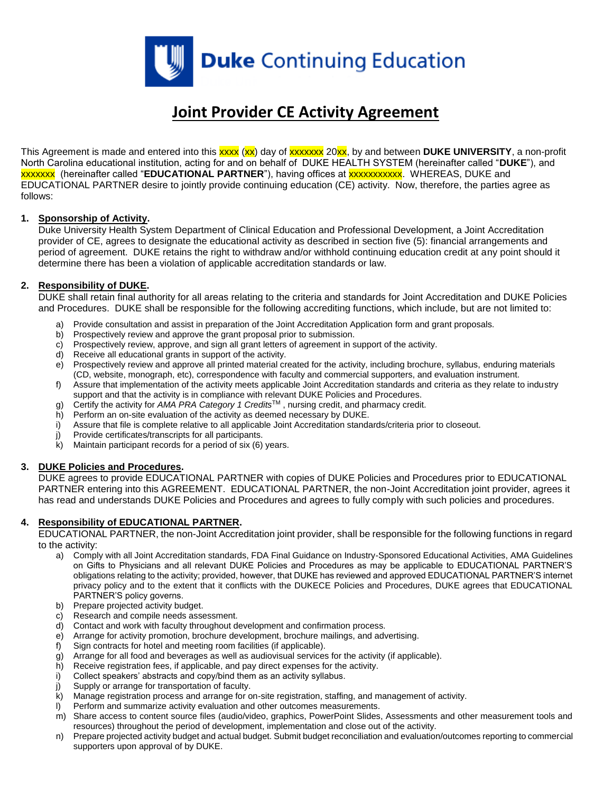

# **Joint Provider CE Activity Agreement**

This Agreement is made and entered into this xxxx (xx) day of xxxxxxx 20xx, by and between **DUKE UNIVERSITY**, a non-profit North Carolina educational institution, acting for and on behalf of DUKE HEALTH SYSTEM (hereinafter called "**DUKE**"), and xxxxxxx (hereinafter called "**EDUCATIONAL PARTNER**"), having offices at xxxxxxxxxxx. WHEREAS, DUKE and EDUCATIONAL PARTNER desire to jointly provide continuing education (CE) activity. Now, therefore, the parties agree as follows:

# **1. Sponsorship of Activity.**

Duke University Health System Department of Clinical Education and Professional Development, a Joint Accreditation provider of CE, agrees to designate the educational activity as described in section five (5): financial arrangements and period of agreement. DUKE retains the right to withdraw and/or withhold continuing education credit at any point should it determine there has been a violation of applicable accreditation standards or law.

# **2. Responsibility of DUKE.**

DUKE shall retain final authority for all areas relating to the criteria and standards for Joint Accreditation and DUKE Policies and Procedures. DUKE shall be responsible for the following accrediting functions, which include, but are not limited to:

- a) Provide consultation and assist in preparation of the Joint Accreditation Application form and grant proposals.
- b) Prospectively review and approve the grant proposal prior to submission.
- c) Prospectively review, approve, and sign all grant letters of agreement in support of the activity.
- d) Receive all educational grants in support of the activity.
- e) Prospectively review and approve all printed material created for the activity, including brochure, syllabus, enduring materials (CD, website, monograph, etc), correspondence with faculty and commercial supporters, and evaluation instrument.
- f) Assure that implementation of the activity meets applicable Joint Accreditation standards and criteria as they relate to industry support and that the activity is in compliance with relevant DUKE Policies and Procedures.
- g) Certify the activity for *AMA PRA Category 1 Credits*TM , nursing credit, and pharmacy credit.
- h) Perform an on-site evaluation of the activity as deemed necessary by DUKE.
- i) Assure that file is complete relative to all applicable Joint Accreditation standards/criteria prior to closeout.
- j) Provide certificates/transcripts for all participants.
- $k$ ) Maintain participant records for a period of six  $(6)$  years.

# **3. DUKE Policies and Procedures.**

DUKE agrees to provide EDUCATIONAL PARTNER with copies of DUKE Policies and Procedures prior to EDUCATIONAL PARTNER entering into this AGREEMENT. EDUCATIONAL PARTNER, the non-Joint Accreditation joint provider, agrees it has read and understands DUKE Policies and Procedures and agrees to fully comply with such policies and procedures.

# **4. Responsibility of EDUCATIONAL PARTNER.**

EDUCATIONAL PARTNER, the non-Joint Accreditation joint provider, shall be responsible for the following functions in regard to the activity:

- a) Comply with all Joint Accreditation standards, FDA Final Guidance on Industry-Sponsored Educational Activities, AMA Guidelines on Gifts to Physicians and all relevant DUKE Policies and Procedures as may be applicable to EDUCATIONAL PARTNER'S obligations relating to the activity; provided, however, that DUKE has reviewed and approved EDUCATIONAL PARTNER'S internet privacy policy and to the extent that it conflicts with the DUKECE Policies and Procedures, DUKE agrees that EDUCATIONAL PARTNER'S policy governs.
- b) Prepare projected activity budget.
- c) Research and compile needs assessment.
- d) Contact and work with faculty throughout development and confirmation process.
- e) Arrange for activity promotion, brochure development, brochure mailings, and advertising.
- f) Sign contracts for hotel and meeting room facilities (if applicable).
- g) Arrange for all food and beverages as well as audiovisual services for the activity (if applicable).
- h) Receive registration fees, if applicable, and pay direct expenses for the activity.
- i) Collect speakers' abstracts and copy/bind them as an activity syllabus.
- j) Supply or arrange for transportation of faculty.
- k) Manage registration process and arrange for on-site registration, staffing, and management of activity.
- l) Perform and summarize activity evaluation and other outcomes measurements.
- m) Share access to content source files (audio/video, graphics, PowerPoint Slides, Assessments and other measurement tools and resources) throughout the period of development, implementation and close out of the activity.
- n) Prepare projected activity budget and actual budget. Submit budget reconciliation and evaluation/outcomes reporting to commercial supporters upon approval of by DUKE.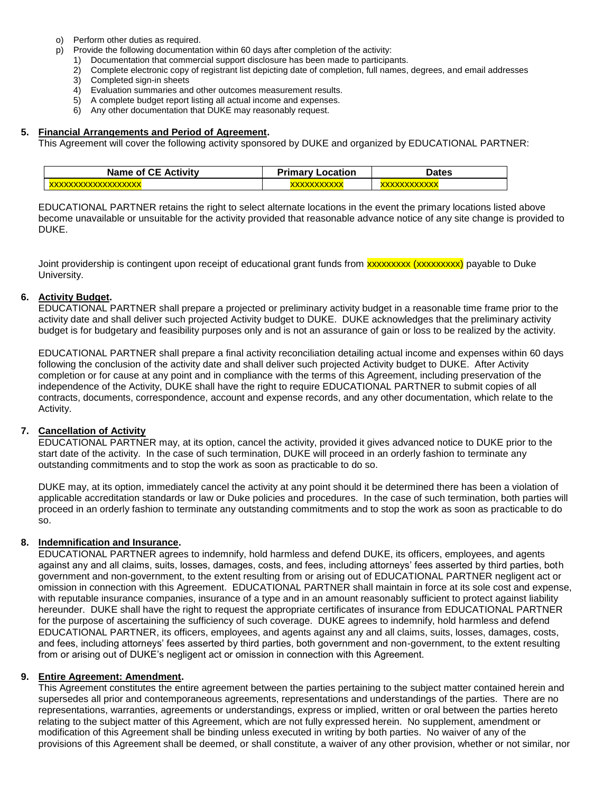- o) Perform other duties as required.
- p) Provide the following documentation within 60 days after completion of the activity:
	- 1) Documentation that commercial support disclosure has been made to participants.
		- 2) Complete electronic copy of registrant list depicting date of completion, full names, degrees, and email addresses
		- 3) Completed sign-in sheets
		- 4) Evaluation summaries and other outcomes measurement results.
		- 5) A complete budget report listing all actual income and expenses.
		- 6) Any other documentation that DUKE may reasonably request.

## **5. Financial Arrangements and Period of Agreement.**

This Agreement will cover the following activity sponsored by DUKE and organized by EDUCATIONAL PARTNER:

| <b>Name of CE Activity</b> | Primary<br>_ocation | <b>Dates</b> |
|----------------------------|---------------------|--------------|
|                            |                     |              |

EDUCATIONAL PARTNER retains the right to select alternate locations in the event the primary locations listed above become unavailable or unsuitable for the activity provided that reasonable advance notice of any site change is provided to DUKE.

Joint providership is contingent upon receipt of educational grant funds from **xxxxxxxxxxxxxxxxxxxxxxxx**) payable to Duke University.

#### **6. Activity Budget.**

EDUCATIONAL PARTNER shall prepare a projected or preliminary activity budget in a reasonable time frame prior to the activity date and shall deliver such projected Activity budget to DUKE. DUKE acknowledges that the preliminary activity budget is for budgetary and feasibility purposes only and is not an assurance of gain or loss to be realized by the activity.

EDUCATIONAL PARTNER shall prepare a final activity reconciliation detailing actual income and expenses within 60 days following the conclusion of the activity date and shall deliver such projected Activity budget to DUKE. After Activity completion or for cause at any point and in compliance with the terms of this Agreement, including preservation of the independence of the Activity, DUKE shall have the right to require EDUCATIONAL PARTNER to submit copies of all contracts, documents, correspondence, account and expense records, and any other documentation, which relate to the Activity.

# **7. Cancellation of Activity**

EDUCATIONAL PARTNER may, at its option, cancel the activity, provided it gives advanced notice to DUKE prior to the start date of the activity. In the case of such termination, DUKE will proceed in an orderly fashion to terminate any outstanding commitments and to stop the work as soon as practicable to do so.

DUKE may, at its option, immediately cancel the activity at any point should it be determined there has been a violation of applicable accreditation standards or law or Duke policies and procedures. In the case of such termination, both parties will proceed in an orderly fashion to terminate any outstanding commitments and to stop the work as soon as practicable to do so.

# **8. Indemnification and Insurance.**

EDUCATIONAL PARTNER agrees to indemnify, hold harmless and defend DUKE, its officers, employees, and agents against any and all claims, suits, losses, damages, costs, and fees, including attorneys' fees asserted by third parties, both government and non-government, to the extent resulting from or arising out of EDUCATIONAL PARTNER negligent act or omission in connection with this Agreement. EDUCATIONAL PARTNER shall maintain in force at its sole cost and expense, with reputable insurance companies, insurance of a type and in an amount reasonably sufficient to protect against liability hereunder. DUKE shall have the right to request the appropriate certificates of insurance from EDUCATIONAL PARTNER for the purpose of ascertaining the sufficiency of such coverage. DUKE agrees to indemnify, hold harmless and defend EDUCATIONAL PARTNER, its officers, employees, and agents against any and all claims, suits, losses, damages, costs, and fees, including attorneys' fees asserted by third parties, both government and non-government, to the extent resulting from or arising out of DUKE's negligent act or omission in connection with this Agreement.

# **9. Entire Agreement: Amendment.**

This Agreement constitutes the entire agreement between the parties pertaining to the subject matter contained herein and supersedes all prior and contemporaneous agreements, representations and understandings of the parties. There are no representations, warranties, agreements or understandings, express or implied, written or oral between the parties hereto relating to the subject matter of this Agreement, which are not fully expressed herein. No supplement, amendment or modification of this Agreement shall be binding unless executed in writing by both parties. No waiver of any of the provisions of this Agreement shall be deemed, or shall constitute, a waiver of any other provision, whether or not similar, nor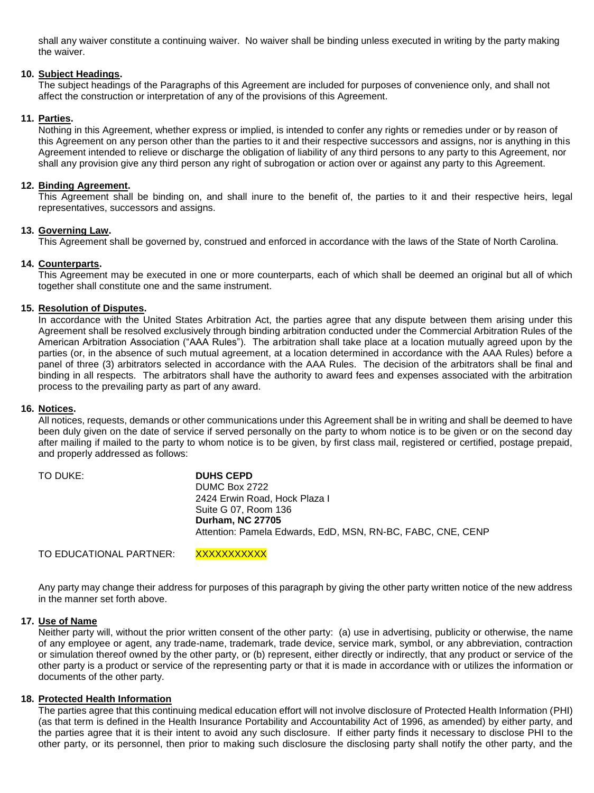shall any waiver constitute a continuing waiver. No waiver shall be binding unless executed in writing by the party making the waiver.

## **10. Subject Headings.**

The subject headings of the Paragraphs of this Agreement are included for purposes of convenience only, and shall not affect the construction or interpretation of any of the provisions of this Agreement.

## **11. Parties.**

Nothing in this Agreement, whether express or implied, is intended to confer any rights or remedies under or by reason of this Agreement on any person other than the parties to it and their respective successors and assigns, nor is anything in this Agreement intended to relieve or discharge the obligation of liability of any third persons to any party to this Agreement, nor shall any provision give any third person any right of subrogation or action over or against any party to this Agreement.

#### **12. Binding Agreement.**

This Agreement shall be binding on, and shall inure to the benefit of, the parties to it and their respective heirs, legal representatives, successors and assigns.

#### **13. Governing Law.**

This Agreement shall be governed by, construed and enforced in accordance with the laws of the State of North Carolina.

#### **14. Counterparts.**

This Agreement may be executed in one or more counterparts, each of which shall be deemed an original but all of which together shall constitute one and the same instrument.

#### **15. Resolution of Disputes.**

In accordance with the United States Arbitration Act, the parties agree that any dispute between them arising under this Agreement shall be resolved exclusively through binding arbitration conducted under the Commercial Arbitration Rules of the American Arbitration Association ("AAA Rules"). The arbitration shall take place at a location mutually agreed upon by the parties (or, in the absence of such mutual agreement, at a location determined in accordance with the AAA Rules) before a panel of three (3) arbitrators selected in accordance with the AAA Rules. The decision of the arbitrators shall be final and binding in all respects. The arbitrators shall have the authority to award fees and expenses associated with the arbitration process to the prevailing party as part of any award.

#### **16. Notices.**

All notices, requests, demands or other communications under this Agreement shall be in writing and shall be deemed to have been duly given on the date of service if served personally on the party to whom notice is to be given or on the second day after mailing if mailed to the party to whom notice is to be given, by first class mail, registered or certified, postage prepaid, and properly addressed as follows:

| TO DUKE: | <b>DUHS CEPD</b>                                            |
|----------|-------------------------------------------------------------|
|          | DUMC Box 2722                                               |
|          | 2424 Erwin Road, Hock Plaza I                               |
|          | Suite G 07, Room 136                                        |
|          | <b>Durham, NC 27705</b>                                     |
|          | Attention: Pamela Edwards, EdD, MSN, RN-BC, FABC, CNE, CENP |
|          |                                                             |

TO EDUCATIONAL PARTNER: XXXXXXXXXXX

Any party may change their address for purposes of this paragraph by giving the other party written notice of the new address in the manner set forth above.

#### **17. Use of Name**

Neither party will, without the prior written consent of the other party: (a) use in advertising, publicity or otherwise, the name of any employee or agent, any trade-name, trademark, trade device, service mark, symbol, or any abbreviation, contraction or simulation thereof owned by the other party, or (b) represent, either directly or indirectly, that any product or service of the other party is a product or service of the representing party or that it is made in accordance with or utilizes the information or documents of the other party.

#### **18. Protected Health Information**

The parties agree that this continuing medical education effort will not involve disclosure of Protected Health Information (PHI) (as that term is defined in the Health Insurance Portability and Accountability Act of 1996, as amended) by either party, and the parties agree that it is their intent to avoid any such disclosure. If either party finds it necessary to disclose PHI to the other party, or its personnel, then prior to making such disclosure the disclosing party shall notify the other party, and the